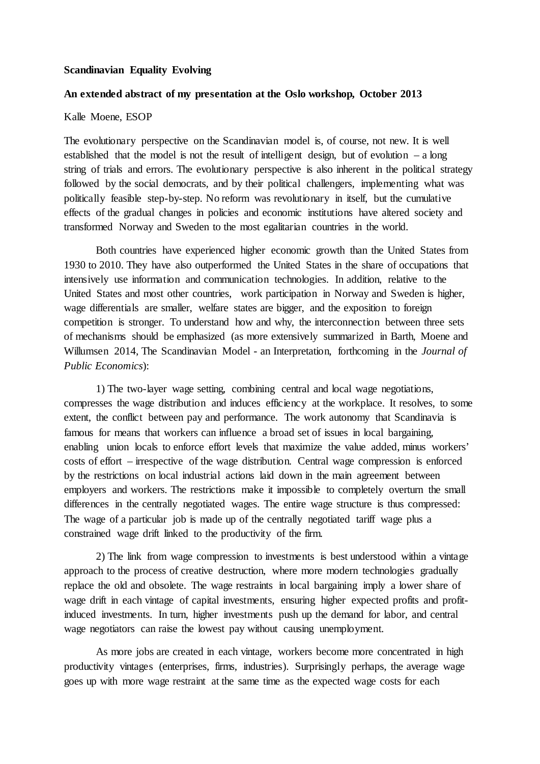## **Scandinavian Equality Evolving**

## **An extended abstract of my presentation at the Oslo workshop, October 2013**

## Kalle Moene, ESOP

The evolutionary perspective on the Scandinavian model is, of course, not new. It is well established that the model is not the result of intelligent design, but of evolution  $-$  a long string of trials and errors. The evolutionary perspective is also inherent in the political strategy followed by the social democrats, and by their political challengers, implementing what was politically feasible step-by-step. No reform was revolutionary in itself, but the cumulative effects of the gradual changes in policies and economic institutions have altered society and transformed Norway and Sweden to the most egalitarian countries in the world.

Both countries have experienced higher economic growth than the United States from 1930 to 2010. They have also outperformed the United States in the share of occupations that intensively use information and communication technologies. In addition, relative to the United States and most other countries, work participation in Norway and Sweden is higher, wage differentials are smaller, welfare states are bigger, and the exposition to foreign competition is stronger. To understand how and why, the interconnection between three sets of mechanisms should be emphasized (as more extensively summarized in Barth, Moene and Willumsen 2014, The Scandinavian Model - an Interpretation, forthcoming in the *Journal of Public Economics*):

1) The two-layer wage setting, combining central and local wage negotiations, compresses the wage distribution and induces efficiency at the workplace. It resolves, to some extent, the conflict between pay and performance. The work autonomy that Scandinavia is famous for means that workers can influence a broad set of issues in local bargaining, enabling union locals to enforce effort levels that maximize the value added, minus workers' costs of effort – irrespective of the wage distribution. Central wage compression is enforced by the restrictions on local industrial actions laid down in the main agreement between employers and workers. The restrictions make it impossible to completely overturn the small differences in the centrally negotiated wages. The entire wage structure is thus compressed: The wage of a particular job is made up of the centrally negotiated tariff wage plus a constrained wage drift linked to the productivity of the firm.

2) The link from wage compression to investments is best understood within a vintage approach to the process of creative destruction, where more modern technologies gradually replace the old and obsolete. The wage restraints in local bargaining imply a lower share of wage drift in each vintage of capital investments, ensuring higher expected profits and profitinduced investments. In turn, higher investments push up the demand for labor, and central wage negotiators can raise the lowest pay without causing unemployment.

As more jobs are created in each vintage, workers become more concentrated in high productivity vintages (enterprises, firms, industries). Surprisingly perhaps, the average wage goes up with more wage restraint at the same time as the expected wage costs for each